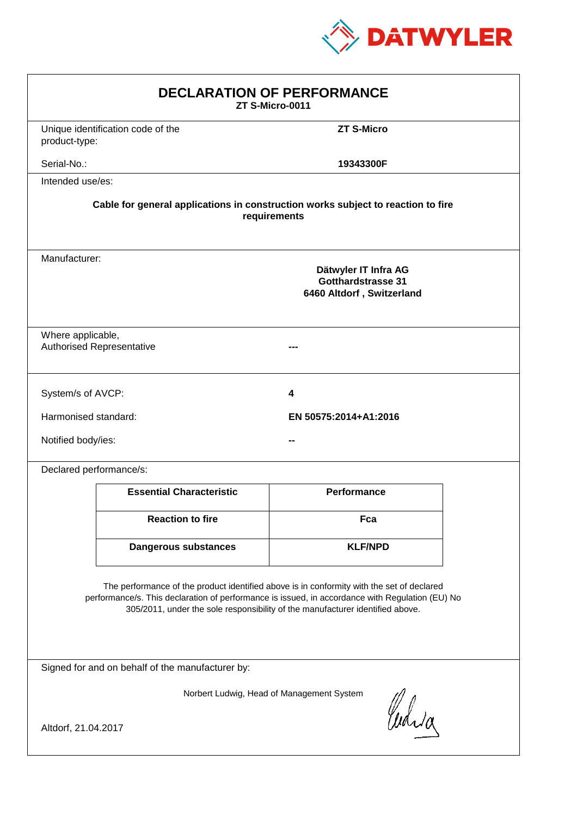

| <b>DECLARATION OF PERFORMANCE</b><br>ZT S-Micro-0011                                                                                                                                                                                                                          |                                                                                                  |                       |  |  |  |
|-------------------------------------------------------------------------------------------------------------------------------------------------------------------------------------------------------------------------------------------------------------------------------|--------------------------------------------------------------------------------------------------|-----------------------|--|--|--|
| product-type:                                                                                                                                                                                                                                                                 | Unique identification code of the                                                                | <b>ZT S-Micro</b>     |  |  |  |
| Serial-No.:                                                                                                                                                                                                                                                                   |                                                                                                  | 19343300F             |  |  |  |
| Intended use/es:                                                                                                                                                                                                                                                              |                                                                                                  |                       |  |  |  |
|                                                                                                                                                                                                                                                                               | Cable for general applications in construction works subject to reaction to fire<br>requirements |                       |  |  |  |
|                                                                                                                                                                                                                                                                               | Manufacturer:<br>Dätwyler IT Infra AG<br><b>Gotthardstrasse 31</b><br>6460 Altdorf, Switzerland  |                       |  |  |  |
|                                                                                                                                                                                                                                                                               | Where applicable,<br><b>Authorised Representative</b>                                            |                       |  |  |  |
| System/s of AVCP:                                                                                                                                                                                                                                                             |                                                                                                  | 4                     |  |  |  |
| Harmonised standard:                                                                                                                                                                                                                                                          |                                                                                                  | EN 50575:2014+A1:2016 |  |  |  |
| Notified body/ies:                                                                                                                                                                                                                                                            |                                                                                                  |                       |  |  |  |
| Declared performance/s:                                                                                                                                                                                                                                                       |                                                                                                  |                       |  |  |  |
|                                                                                                                                                                                                                                                                               | <b>Essential Characteristic</b>                                                                  | <b>Performance</b>    |  |  |  |
|                                                                                                                                                                                                                                                                               | <b>Reaction to fire</b>                                                                          | Fca                   |  |  |  |
|                                                                                                                                                                                                                                                                               | <b>Dangerous substances</b>                                                                      | <b>KLF/NPD</b>        |  |  |  |
| The performance of the product identified above is in conformity with the set of declared<br>performance/s. This declaration of performance is issued, in accordance with Regulation (EU) No<br>305/2011, under the sole responsibility of the manufacturer identified above. |                                                                                                  |                       |  |  |  |
| Signed for and on behalf of the manufacturer by:                                                                                                                                                                                                                              |                                                                                                  |                       |  |  |  |
| Norbert Ludwig, Head of Management System<br>Curia<br>Altdorf, 21.04.2017                                                                                                                                                                                                     |                                                                                                  |                       |  |  |  |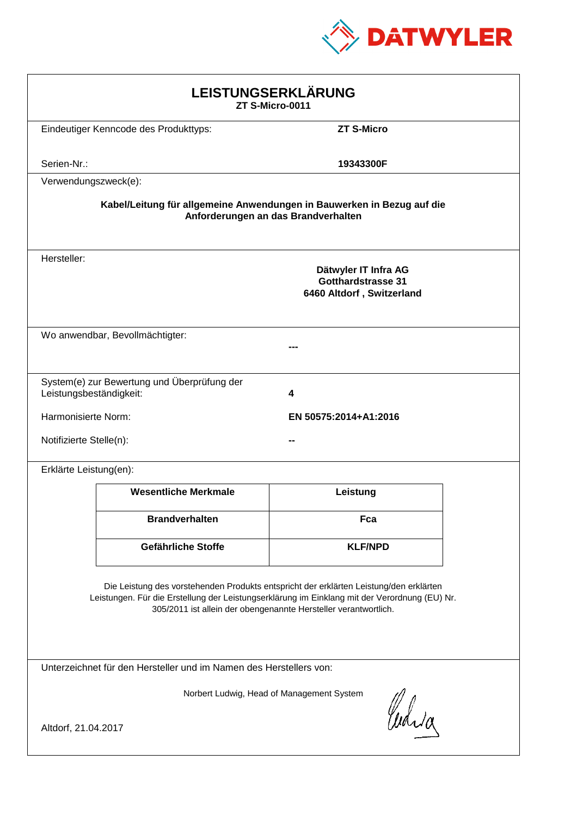

| LEISTUNGSERKLÄRUNG<br>ZT S-Micro-0011                                                                                                                                                                                                                      |                                                                        |                                                                                |  |  |
|------------------------------------------------------------------------------------------------------------------------------------------------------------------------------------------------------------------------------------------------------------|------------------------------------------------------------------------|--------------------------------------------------------------------------------|--|--|
|                                                                                                                                                                                                                                                            | Eindeutiger Kenncode des Produkttyps:                                  | <b>ZT S-Micro</b>                                                              |  |  |
| Serien-Nr.:                                                                                                                                                                                                                                                |                                                                        | 19343300F                                                                      |  |  |
| Verwendungszweck(e):                                                                                                                                                                                                                                       |                                                                        |                                                                                |  |  |
|                                                                                                                                                                                                                                                            | Kabel/Leitung für allgemeine Anwendungen in Bauwerken in Bezug auf die | Anforderungen an das Brandverhalten                                            |  |  |
| Hersteller:                                                                                                                                                                                                                                                |                                                                        | Dätwyler IT Infra AG<br><b>Gotthardstrasse 31</b><br>6460 Altdorf, Switzerland |  |  |
|                                                                                                                                                                                                                                                            | Wo anwendbar, Bevollmächtigter:                                        |                                                                                |  |  |
| Leistungsbeständigkeit:                                                                                                                                                                                                                                    | System(e) zur Bewertung und Überprüfung der                            | 4                                                                              |  |  |
| Harmonisierte Norm:                                                                                                                                                                                                                                        |                                                                        | EN 50575:2014+A1:2016                                                          |  |  |
| Notifizierte Stelle(n):                                                                                                                                                                                                                                    |                                                                        |                                                                                |  |  |
| Erklärte Leistung(en):                                                                                                                                                                                                                                     |                                                                        |                                                                                |  |  |
|                                                                                                                                                                                                                                                            | <b>Wesentliche Merkmale</b>                                            | Leistung                                                                       |  |  |
|                                                                                                                                                                                                                                                            | <b>Brandverhalten</b>                                                  | Fca                                                                            |  |  |
|                                                                                                                                                                                                                                                            | Gefährliche Stoffe                                                     | <b>KLF/NPD</b>                                                                 |  |  |
| Die Leistung des vorstehenden Produkts entspricht der erklärten Leistung/den erklärten<br>Leistungen. Für die Erstellung der Leistungserklärung im Einklang mit der Verordnung (EU) Nr.<br>305/2011 ist allein der obengenannte Hersteller verantwortlich. |                                                                        |                                                                                |  |  |
|                                                                                                                                                                                                                                                            | Unterzeichnet für den Hersteller und im Namen des Herstellers von:     |                                                                                |  |  |
| Norbert Ludwig, Head of Management System                                                                                                                                                                                                                  |                                                                        |                                                                                |  |  |
| Cudia<br>Altdorf, 21.04.2017                                                                                                                                                                                                                               |                                                                        |                                                                                |  |  |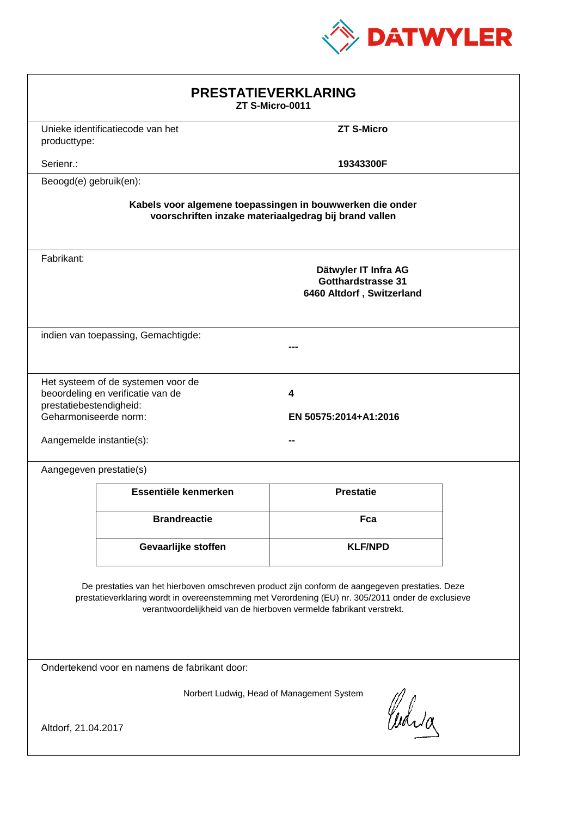

| <b>PRESTATIEVERKLARING</b><br>ZT S-Micro-0011                                                                                                                                                                                                                               |                                                                         |                   |  |  |
|-----------------------------------------------------------------------------------------------------------------------------------------------------------------------------------------------------------------------------------------------------------------------------|-------------------------------------------------------------------------|-------------------|--|--|
| producttype:                                                                                                                                                                                                                                                                | Unieke identificatiecode van het                                        | <b>ZT S-Micro</b> |  |  |
| Serienr.:                                                                                                                                                                                                                                                                   |                                                                         | 19343300F         |  |  |
| Beoogd(e) gebruik(en):                                                                                                                                                                                                                                                      |                                                                         |                   |  |  |
| Kabels voor algemene toepassingen in bouwwerken die onder<br>voorschriften inzake materiaalgedrag bij brand vallen                                                                                                                                                          |                                                                         |                   |  |  |
| Fabrikant:                                                                                                                                                                                                                                                                  | Dätwyler IT Infra AG<br>Gotthardstrasse 31<br>6460 Altdorf, Switzerland |                   |  |  |
|                                                                                                                                                                                                                                                                             | indien van toepassing, Gemachtigde:                                     |                   |  |  |
| Het systeem of de systemen voor de<br>beoordeling en verificatie van de<br>4<br>prestatiebestendigheid:<br>Geharmoniseerde norm:<br>EN 50575:2014+A1:2016<br>Aangemelde instantie(s):                                                                                       |                                                                         |                   |  |  |
| Aangegeven prestatie(s)                                                                                                                                                                                                                                                     |                                                                         |                   |  |  |
|                                                                                                                                                                                                                                                                             | Essentiële kenmerken                                                    | <b>Prestatie</b>  |  |  |
|                                                                                                                                                                                                                                                                             | <b>Brandreactie</b>                                                     | Fca               |  |  |
|                                                                                                                                                                                                                                                                             | Gevaarlijke stoffen                                                     | <b>KLF/NPD</b>    |  |  |
| De prestaties van het hierboven omschreven product zijn conform de aangegeven prestaties. Deze<br>prestatieverklaring wordt in overeenstemming met Verordening (EU) nr. 305/2011 onder de exclusieve<br>verantwoordelijkheid van de hierboven vermelde fabrikant verstrekt. |                                                                         |                   |  |  |
| Ondertekend voor en namens de fabrikant door:                                                                                                                                                                                                                               |                                                                         |                   |  |  |
| Norbert Ludwig, Head of Management System<br>Curia<br>Altdorf, 21.04.2017                                                                                                                                                                                                   |                                                                         |                   |  |  |
|                                                                                                                                                                                                                                                                             |                                                                         |                   |  |  |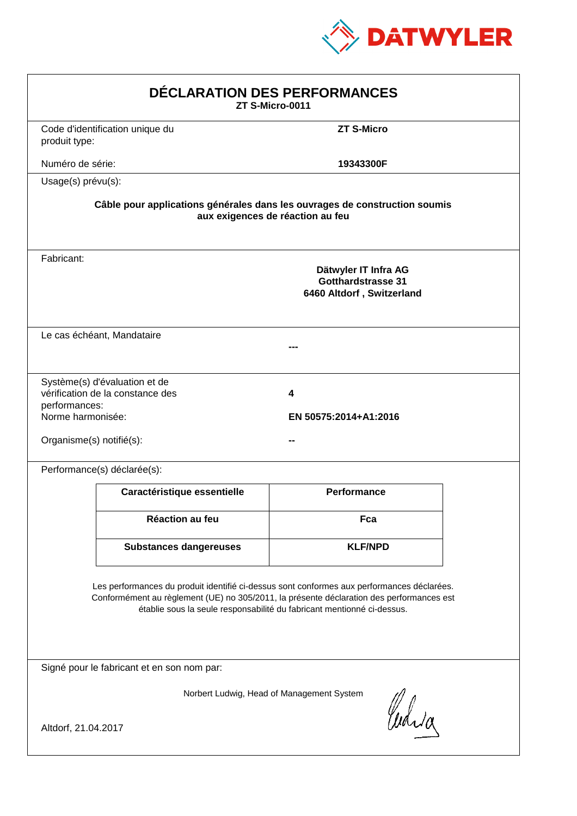

| DÉCLARATION DES PERFORMANCES<br>ZT S-Micro-0011                |                                                                   |                                                                                                                                                                                                                                                                  |  |
|----------------------------------------------------------------|-------------------------------------------------------------------|------------------------------------------------------------------------------------------------------------------------------------------------------------------------------------------------------------------------------------------------------------------|--|
| produit type:                                                  | Code d'identification unique du                                   | <b>ZT S-Micro</b>                                                                                                                                                                                                                                                |  |
| Numéro de série:                                               |                                                                   | 19343300F                                                                                                                                                                                                                                                        |  |
| Usage(s) prévu(s):                                             |                                                                   |                                                                                                                                                                                                                                                                  |  |
|                                                                |                                                                   | Câble pour applications générales dans les ouvrages de construction soumis<br>aux exigences de réaction au feu                                                                                                                                                   |  |
| Fabricant:                                                     |                                                                   | Dätwyler IT Infra AG<br><b>Gotthardstrasse 31</b><br>6460 Altdorf, Switzerland                                                                                                                                                                                   |  |
|                                                                | Le cas échéant, Mandataire                                        |                                                                                                                                                                                                                                                                  |  |
| performances:<br>Norme harmonisée:<br>Organisme(s) notifié(s): | Système(s) d'évaluation et de<br>vérification de la constance des | 4<br>EN 50575:2014+A1:2016                                                                                                                                                                                                                                       |  |
|                                                                | Performance(s) déclarée(s):                                       |                                                                                                                                                                                                                                                                  |  |
|                                                                | Caractéristique essentielle                                       | Performance                                                                                                                                                                                                                                                      |  |
|                                                                | <b>Réaction au feu</b>                                            | Fca                                                                                                                                                                                                                                                              |  |
|                                                                | <b>Substances dangereuses</b>                                     | <b>KLF/NPD</b>                                                                                                                                                                                                                                                   |  |
|                                                                |                                                                   | Les performances du produit identifié ci-dessus sont conformes aux performances déclarées.<br>Conformément au règlement (UE) no 305/2011, la présente déclaration des performances est<br>établie sous la seule responsabilité du fabricant mentionné ci-dessus. |  |
|                                                                | Signé pour le fabricant et en son nom par:                        |                                                                                                                                                                                                                                                                  |  |
| Altdorf, 21.04.2017                                            |                                                                   | Norbert Ludwig, Head of Management System<br>Curia                                                                                                                                                                                                               |  |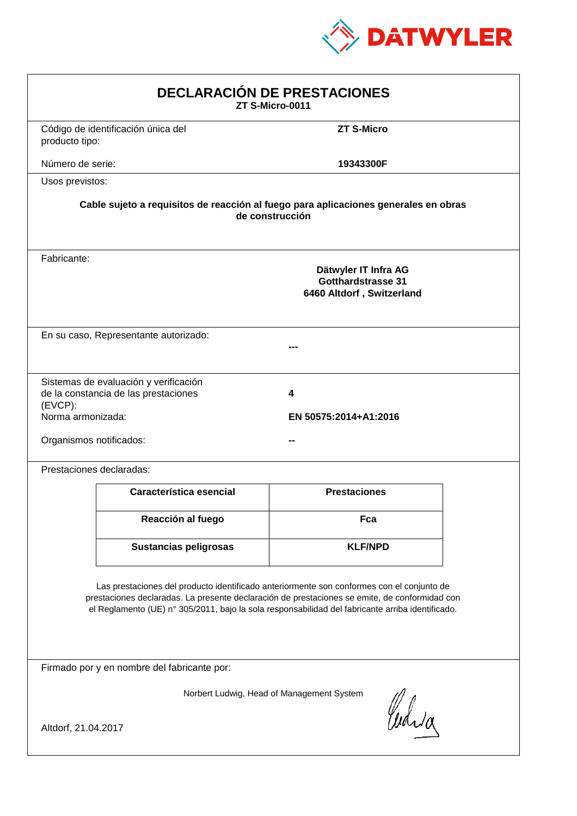

| <b>DECLARACIÓN DE PRESTACIONES</b><br>ZT S-Micro-0011                                                                                                                                                                                                                                                                                         |                                                                                                        |                            |  |  |  |
|-----------------------------------------------------------------------------------------------------------------------------------------------------------------------------------------------------------------------------------------------------------------------------------------------------------------------------------------------|--------------------------------------------------------------------------------------------------------|----------------------------|--|--|--|
| producto tipo:                                                                                                                                                                                                                                                                                                                                | Código de identificación única del                                                                     | <b>ZT S-Micro</b>          |  |  |  |
| Número de serie:                                                                                                                                                                                                                                                                                                                              |                                                                                                        | 19343300F                  |  |  |  |
| Usos previstos:                                                                                                                                                                                                                                                                                                                               |                                                                                                        |                            |  |  |  |
|                                                                                                                                                                                                                                                                                                                                               | Cable sujeto a requisitos de reacción al fuego para aplicaciones generales en obras<br>de construcción |                            |  |  |  |
| Fabricante:                                                                                                                                                                                                                                                                                                                                   | Dätwyler IT Infra AG<br><b>Gotthardstrasse 31</b><br>6460 Altdorf, Switzerland                         |                            |  |  |  |
|                                                                                                                                                                                                                                                                                                                                               | En su caso, Representante autorizado:                                                                  |                            |  |  |  |
| (EVCP):<br>Norma armonizada:<br>Organismos notificados:                                                                                                                                                                                                                                                                                       | Sistemas de evaluación y verificación<br>de la constancia de las prestaciones                          | 4<br>EN 50575:2014+A1:2016 |  |  |  |
|                                                                                                                                                                                                                                                                                                                                               | Prestaciones declaradas:                                                                               |                            |  |  |  |
|                                                                                                                                                                                                                                                                                                                                               | Característica esencial                                                                                | <b>Prestaciones</b>        |  |  |  |
|                                                                                                                                                                                                                                                                                                                                               | Reacción al fuego                                                                                      | Fca                        |  |  |  |
|                                                                                                                                                                                                                                                                                                                                               | <b>Sustancias peligrosas</b>                                                                           | <b>KLF/NPD</b>             |  |  |  |
| Las prestaciones del producto identificado anteriormente son conformes con el conjunto de<br>prestaciones declaradas. La presente declaración de prestaciones se emite, de conformidad con<br>el Reglamento (UE) nº 305/2011, bajo la sola responsabilidad del fabricante arriba identificado.<br>Firmado por y en nombre del fabricante por: |                                                                                                        |                            |  |  |  |
|                                                                                                                                                                                                                                                                                                                                               |                                                                                                        |                            |  |  |  |
| Norbert Ludwig, Head of Management System<br>Curia<br>Altdorf, 21.04.2017                                                                                                                                                                                                                                                                     |                                                                                                        |                            |  |  |  |